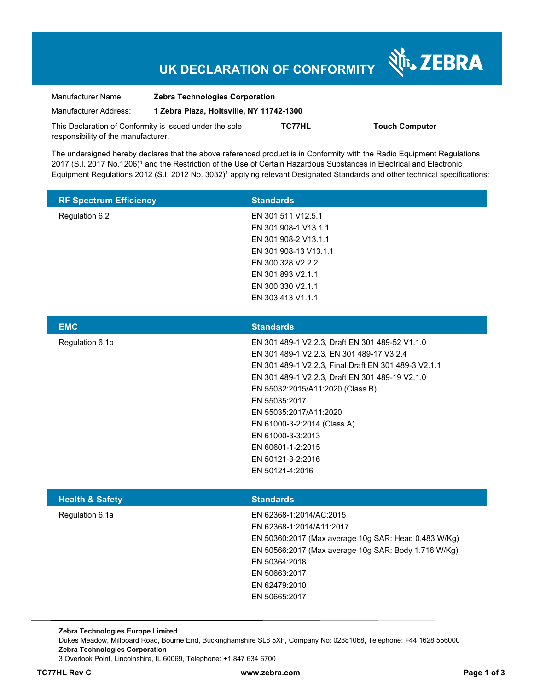# **UK DECLARATION OF CONFORMITY**

Nr. ZEBRA

| Manufacturer Name:                                      | <b>Zebra Technologies Corporation</b>    |               |                       |
|---------------------------------------------------------|------------------------------------------|---------------|-----------------------|
| Manufacturer Address:                                   | 1 Zebra Plaza, Holtsville, NY 11742-1300 |               |                       |
| This Declaration of Conformity is issued under the sole |                                          | <b>TC77HL</b> | <b>Touch Computer</b> |
| responsibility of the manufacturer.                     |                                          |               |                       |

The undersigned hereby declares that the above referenced product is in Conformity with the Radio Equipment Regulations 2017 (S.I. 2017 No.1206)<sup>1</sup> and the Restriction of the Use of Certain Hazardous Substances in Electrical and Electronic Equipment Regulations 2012 (S.I. 2012 No. 3032)<sup>1</sup> applying relevant Designated Standards and other technical specifications:

| <b>RF Spectrum Efficiency</b> | <b>Standards</b>      |
|-------------------------------|-----------------------|
| Regulation 6.2                | EN 301 511 V12.5.1    |
|                               | EN 301 908-1 V13.1.1  |
|                               | EN 301 908-2 V13.1.1  |
|                               | EN 301 908-13 V13.1.1 |
|                               | EN 300 328 V2.2.2     |
|                               | EN 301 893 V2.1.1     |
|                               | EN 300 330 V2.1.1     |
|                               | EN 303 413 V1.1.1     |

| <b>EMC</b>      | <b>Standards</b>                                     |
|-----------------|------------------------------------------------------|
| Regulation 6.1b | EN 301 489-1 V2.2.3, Draft EN 301 489-52 V1.1.0      |
|                 | EN 301 489-1 V2.2.3, EN 301 489-17 V3.2.4            |
|                 | EN 301 489-1 V2.2.3, Final Draft EN 301 489-3 V2.1.1 |
|                 | EN 301 489-1 V2.2.3, Draft EN 301 489-19 V2.1.0      |
|                 | EN 55032:2015/A11:2020 (Class B)                     |
|                 | EN 55035:2017                                        |
|                 | EN 55035:2017/A11:2020                               |
|                 | EN 61000-3-2:2014 (Class A)                          |
|                 | EN 61000-3-3:2013                                    |
|                 | EN 60601-1-2:2015                                    |
|                 | EN 50121-3-2:2016                                    |
|                 | EN 50121-4:2016                                      |
|                 |                                                      |

| <b>Standards</b>                                     |
|------------------------------------------------------|
| EN 62368-1:2014/AC:2015                              |
| EN 62368-1:2014/A11:2017                             |
| EN 50360:2017 (Max average 10g SAR: Head 0.483 W/Kg) |
| EN 50566:2017 (Max average 10g SAR: Body 1.716 W/Kg) |
| EN 50364:2018                                        |
| EN 50663:2017                                        |
| EN 62479:2010                                        |
| EN 50665:2017                                        |
|                                                      |

**Zebra Technologies Europe Limited**  Dukes Meadow, Millboard Road, Bourne End, Buckinghamshire SL8 5XF, Company No: 02881068, Telephone: +44 1628 556000 **Zebra Technologies Corporation**  3 Overlook Point, Lincolnshire, IL 60069, Telephone: +1 847 634 6700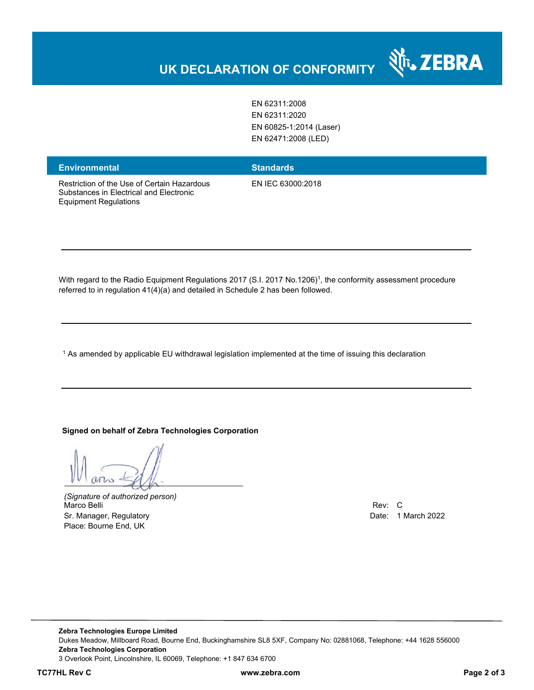EN 62311:2008 EN 62311:2020 EN 60825-1:2014 (Laser) EN 62471:2008 (LED)

### **Environmental Standards**

Restriction of the Use of Certain Hazardous Substances in Electrical and Electronic Equipment Regulations

EN IEC 63000:2018

With regard to the Radio Equipment Regulations 2017 (S.I. 2017 No.1206)<sup>1</sup>, the conformity assessment procedure referred to in regulation 41(4)(a) and detailed in Schedule 2 has been followed.

 $^{\rm 1}$  As amended by applicable EU withdrawal legislation implemented at the time of issuing this declaration

#### **Signed on behalf of Zebra Technologies Corporation**

*(Signature of authorized person)* Marco Belli Rev: C Sr. Manager, Regulatory **Date: 1 March 2022** Place: Bourne End, UK

र्शे<sub>ं</sub> ZEBRA